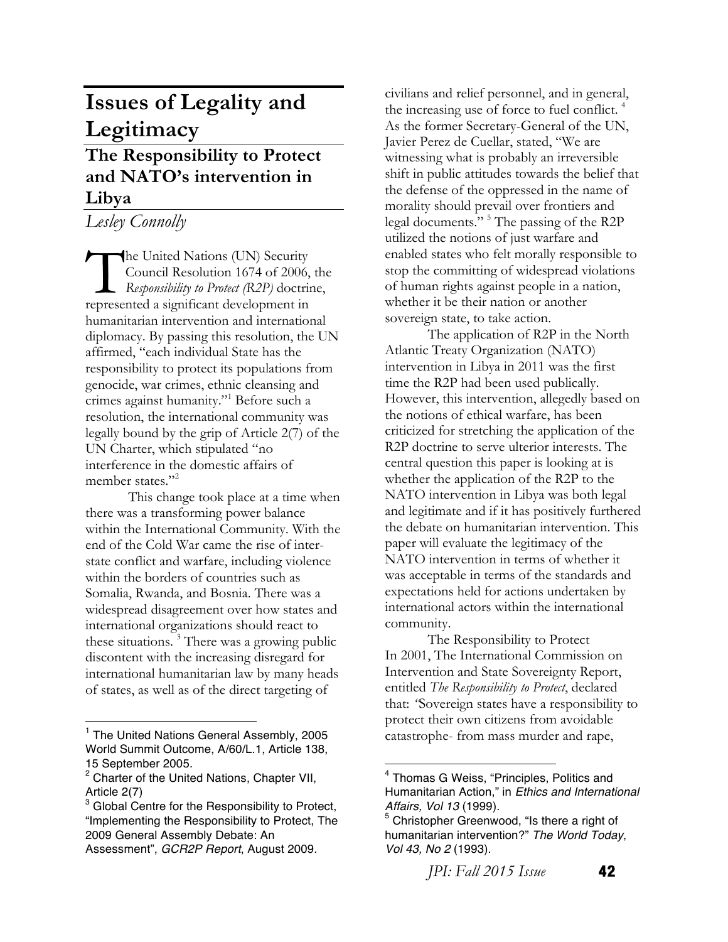# **Issues of Legality and Legitimacy**

## **The Responsibility to Protect and NATO's intervention in Libya**

*Lesley Connolly*

he United Nations (UN) Security Council Resolution 1674 of 2006, the *Responsibility to Protect (R2P)* doctrine, The United Nations (UN) Security<br>
Council Resolution 1674 of 2006,<br>
Responsibility to Protect (R2P) doctrines<br>
represented a significant development in humanitarian intervention and international diplomacy. By passing this resolution, the UN affirmed, "each individual State has the responsibility to protect its populations from genocide, war crimes, ethnic cleansing and crimes against humanity."1 Before such a resolution, the international community was legally bound by the grip of Article 2(7) of the UN Charter, which stipulated "no interference in the domestic affairs of member states."<sup>2</sup>

This change took place at a time when there was a transforming power balance within the International Community. With the end of the Cold War came the rise of interstate conflict and warfare, including violence within the borders of countries such as Somalia, Rwanda, and Bosnia. There was a widespread disagreement over how states and international organizations should react to these situations. 3 There was a growing public discontent with the increasing disregard for international humanitarian law by many heads of states, as well as of the direct targeting of

civilians and relief personnel, and in general, the increasing use of force to fuel conflict. 4 As the former Secretary-General of the UN, Javier Perez de Cuellar, stated, "We are witnessing what is probably an irreversible shift in public attitudes towards the belief that the defense of the oppressed in the name of morality should prevail over frontiers and legal documents." 5 The passing of the R2P utilized the notions of just warfare and enabled states who felt morally responsible to stop the committing of widespread violations of human rights against people in a nation, whether it be their nation or another sovereign state, to take action.

The application of R2P in the North Atlantic Treaty Organization (NATO) intervention in Libya in 2011 was the first time the R2P had been used publically. However, this intervention, allegedly based on the notions of ethical warfare, has been criticized for stretching the application of the R2P doctrine to serve ulterior interests. The central question this paper is looking at is whether the application of the R2P to the NATO intervention in Libya was both legal and legitimate and if it has positively furthered the debate on humanitarian intervention. This paper will evaluate the legitimacy of the NATO intervention in terms of whether it was acceptable in terms of the standards and expectations held for actions undertaken by international actors within the international community.

The Responsibility to Protect In 2001, The International Commission on Intervention and State Sovereignty Report, entitled *The Responsibility to Protect*, declared that: *"*Sovereign states have a responsibility to protect their own citizens from avoidable catastrophe- from mass murder and rape,

*JPI: Fall 2015 Issue* **42** 

 <sup>1</sup> The United Nations General Assembly, 2005 World Summit Outcome, A/60/L.1, Article 138, 15 September 2005.

<sup>&</sup>lt;sup>2</sup> Charter of the United Nations, Chapter VII, Article 2(7)

<sup>&</sup>lt;sup>3</sup> Global Centre for the Responsibility to Protect, "Implementing the Responsibility to Protect, The 2009 General Assembly Debate: An Assessment", *GCR2P Report*, August 2009.

<sup>4</sup> Thomas G Weiss, "Principles, Politics and Humanitarian Action," in *Ethics and International Affairs, Vol 13* (1999).

<sup>&</sup>lt;sup>5</sup> Christopher Greenwood, "Is there a right of humanitarian intervention?" *The World Today*, *Vol 43, No 2* (1993).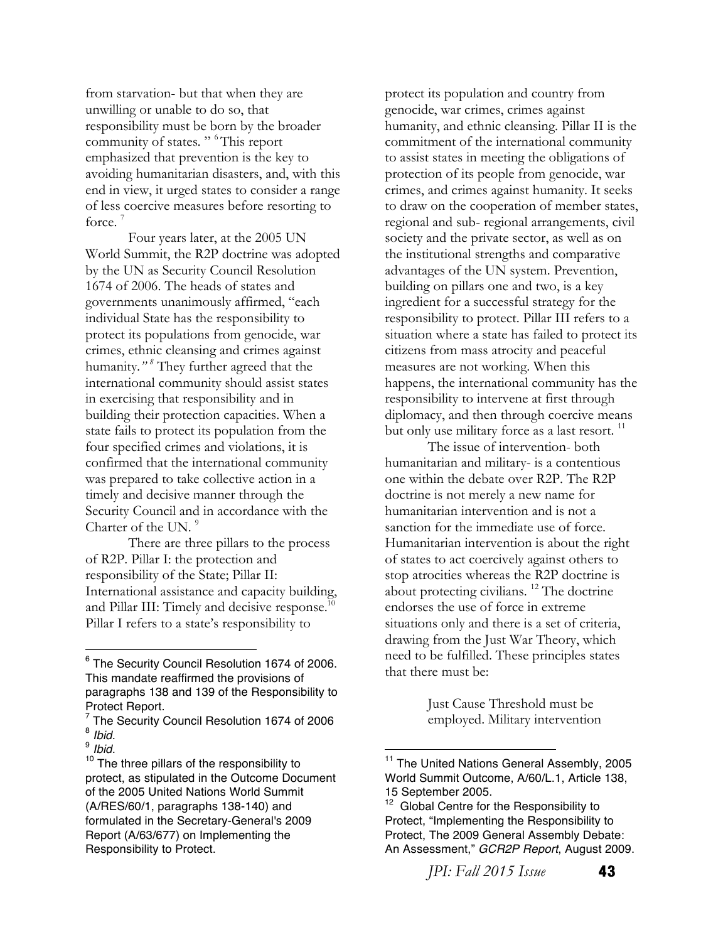from starvation- but that when they are unwilling or unable to do so, that responsibility must be born by the broader community of states." <sup>6</sup>This report emphasized that prevention is the key to avoiding humanitarian disasters, and, with this end in view, it urged states to consider a range of less coercive measures before resorting to force.<sup>7</sup>

Four years later, at the 2005 UN World Summit, the R2P doctrine was adopted by the UN as Security Council Resolution 1674 of 2006. The heads of states and governments unanimously affirmed, "each individual State has the responsibility to protect its populations from genocide, war crimes, ethnic cleansing and crimes against humanity*." 8* They further agreed that the international community should assist states in exercising that responsibility and in building their protection capacities. When a state fails to protect its population from the four specified crimes and violations, it is confirmed that the international community was prepared to take collective action in a timely and decisive manner through the Security Council and in accordance with the Charter of the UN.<sup>9</sup>

There are three pillars to the process of R2P. Pillar I: the protection and responsibility of the State; Pillar II: International assistance and capacity building, and Pillar III: Timely and decisive response.<sup>10</sup> Pillar I refers to a state's responsibility to

 

protect its population and country from genocide, war crimes, crimes against humanity, and ethnic cleansing. Pillar II is the commitment of the international community to assist states in meeting the obligations of protection of its people from genocide, war crimes, and crimes against humanity. It seeks to draw on the cooperation of member states, regional and sub- regional arrangements, civil society and the private sector, as well as on the institutional strengths and comparative advantages of the UN system. Prevention, building on pillars one and two, is a key ingredient for a successful strategy for the responsibility to protect. Pillar III refers to a situation where a state has failed to protect its citizens from mass atrocity and peaceful measures are not working. When this happens, the international community has the responsibility to intervene at first through diplomacy, and then through coercive means but only use military force as a last resort.<sup>11</sup>

The issue of intervention- both humanitarian and military- is a contentious one within the debate over R2P. The R2P doctrine is not merely a new name for humanitarian intervention and is not a sanction for the immediate use of force. Humanitarian intervention is about the right of states to act coercively against others to stop atrocities whereas the R2P doctrine is about protecting civilians. 12 The doctrine endorses the use of force in extreme situations only and there is a set of criteria, drawing from the Just War Theory, which need to be fulfilled. These principles states that there must be:

> Just Cause Threshold must be employed. Military intervention

*JPI: Fall 2015 Issue* **43** 

<sup>6</sup> The Security Council Resolution 1674 of 2006. This mandate reaffirmed the provisions of paragraphs 138 and 139 of the Responsibility to Protect Report.

 $\frac{7}{8}$  The Security Council Resolution 1674 of 2006<br> $\frac{8}{10}$  *Ibid.* 

<sup>&</sup>lt;sup>9</sup> *Ibid.* 10 *Ibid.* Ibid. 10 The three pillars of the responsibility to protect, as stipulated in the Outcome Document of the 2005 United Nations World Summit (A/RES/60/1, paragraphs 138-140) and formulated in the Secretary-General's 2009 Report (A/63/677) on Implementing the Responsibility to Protect.

<sup>&</sup>lt;sup>11</sup> The United Nations General Assembly, 2005 World Summit Outcome, A/60/L.1, Article 138, 15 September 2005.

 $12$  Global Centre for the Responsibility to Protect, "Implementing the Responsibility to Protect, The 2009 General Assembly Debate: An Assessment," *GCR2P Report*, August 2009.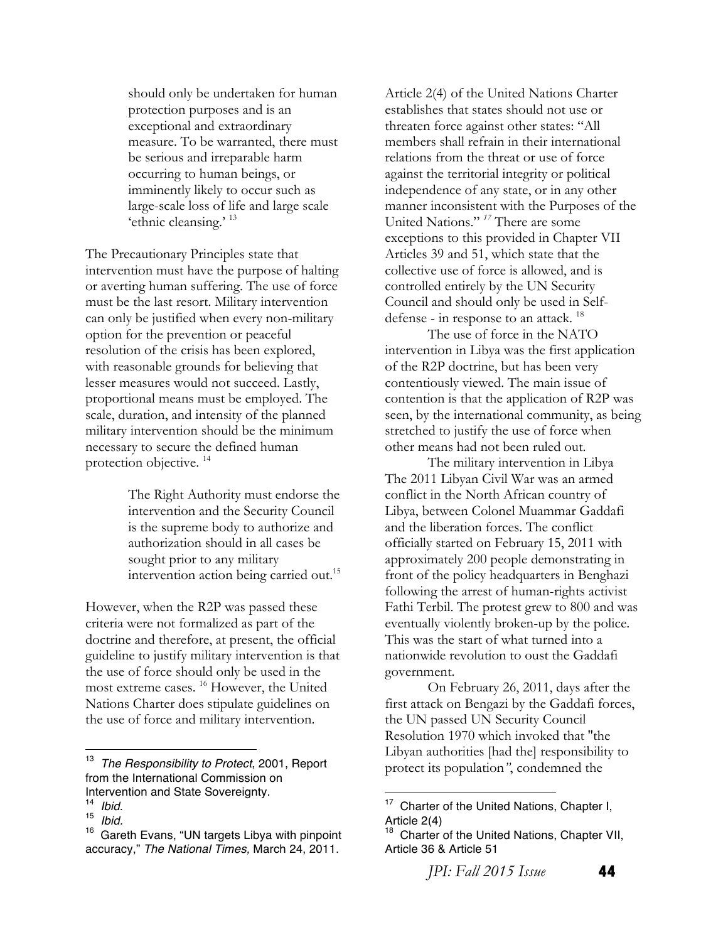should only be undertaken for human protection purposes and is an exceptional and extraordinary measure. To be warranted, there must be serious and irreparable harm occurring to human beings, or imminently likely to occur such as large-scale loss of life and large scale 'ethnic cleansing.' 13

The Precautionary Principles state that intervention must have the purpose of halting or averting human suffering. The use of force must be the last resort. Military intervention can only be justified when every non-military option for the prevention or peaceful resolution of the crisis has been explored, with reasonable grounds for believing that lesser measures would not succeed. Lastly, proportional means must be employed. The scale, duration, and intensity of the planned military intervention should be the minimum necessary to secure the defined human protection objective.<sup>14</sup>

> The Right Authority must endorse the intervention and the Security Council is the supreme body to authorize and authorization should in all cases be sought prior to any military intervention action being carried out.<sup>15</sup>

However, when the R2P was passed these criteria were not formalized as part of the doctrine and therefore, at present, the official guideline to justify military intervention is that the use of force should only be used in the most extreme cases. 16 However, the United Nations Charter does stipulate guidelines on the use of force and military intervention.

 

Article 2(4) of the United Nations Charter establishes that states should not use or threaten force against other states: "All members shall refrain in their international relations from the threat or use of force against the territorial integrity or political independence of any state, or in any other manner inconsistent with the Purposes of the United Nations." *<sup>17</sup>* There are some exceptions to this provided in Chapter VII Articles 39 and 51, which state that the collective use of force is allowed, and is controlled entirely by the UN Security Council and should only be used in Selfdefense - in response to an attack.<sup>18</sup>

The use of force in the NATO intervention in Libya was the first application of the R2P doctrine, but has been very contentiously viewed. The main issue of contention is that the application of R2P was seen, by the international community, as being stretched to justify the use of force when other means had not been ruled out.

The military intervention in Libya The 2011 Libyan Civil War was an armed conflict in the North African country of Libya, between Colonel Muammar Gaddafi and the liberation forces. The conflict officially started on February 15, 2011 with approximately 200 people demonstrating in front of the policy headquarters in Benghazi following the arrest of human-rights activist Fathi Terbil. The protest grew to 800 and was eventually violently broken-up by the police. This was the start of what turned into a nationwide revolution to oust the Gaddafi government.

On February 26, 2011, days after the first attack on Bengazi by the Gaddafi forces, the UN passed UN Security Council Resolution 1970 which invoked that ''the Libyan authorities [had the] responsibility to protect its population*"*, condemned the

 

*JPI: Fall 2015 Issue* **44** 

<sup>13</sup> *The Responsibility to Protect*, 2001, Report from the International Commission on Intervention and State Sovereignty.<br><sup>14</sup> Ibid.

<sup>14</sup>*Ibid*. <sup>15</sup>*Ibid.*

<sup>16</sup> Gareth Evans, "UN targets Libya with pinpoint accuracy," *The National Times,* March 24, 2011.

Charter of the United Nations, Chapter I, Article 2(4)

Charter of the United Nations, Chapter VII, Article 36 & Article 51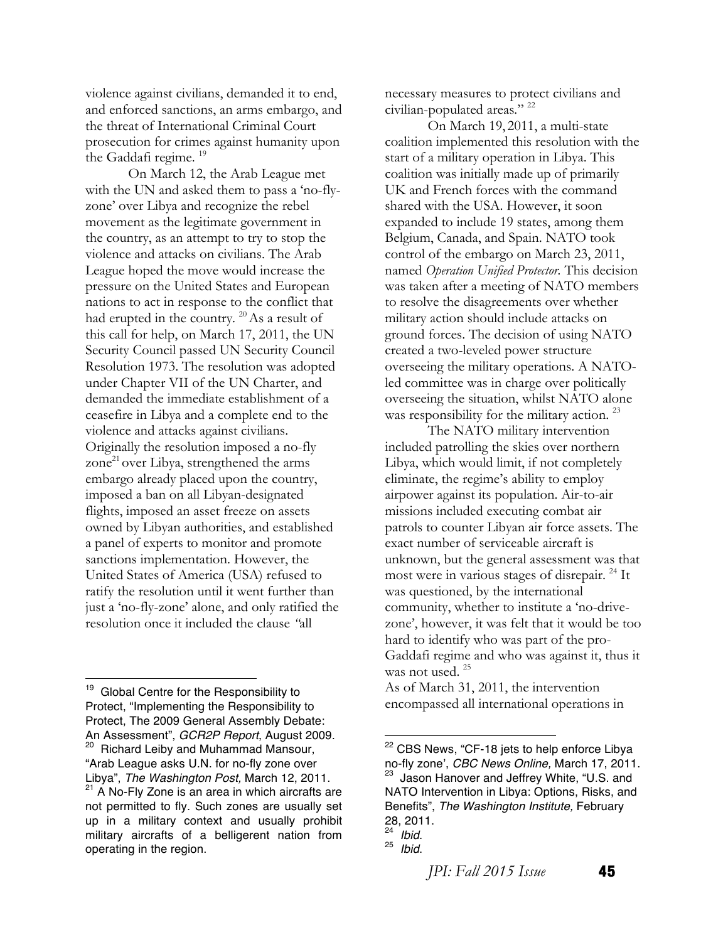violence against civilians, demanded it to end, and enforced sanctions, an arms embargo, and the threat of International Criminal Court prosecution for crimes against humanity upon the Gaddafi regime.<sup>19</sup>

On March 12, the Arab League met with the UN and asked them to pass a 'no-flyzone' over Libya and recognize the rebel movement as the legitimate government in the country, as an attempt to try to stop the violence and attacks on civilians. The Arab League hoped the move would increase the pressure on the United States and European nations to act in response to the conflict that had erupted in the country.  $^{20}$  As a result of this call for help, on March 17, 2011, the UN Security Council passed UN Security Council Resolution 1973. The resolution was adopted under Chapter VII of the UN Charter, and demanded the immediate establishment of a ceasefire in Libya and a complete end to the violence and attacks against civilians. Originally the resolution imposed a no-fly zone $^{21}$  over Libya, strengthened the arms embargo already placed upon the country, imposed a ban on all Libyan-designated flights, imposed an asset freeze on assets owned by Libyan authorities, and established a panel of experts to monitor and promote sanctions implementation. However, the United States of America (USA) refused to ratify the resolution until it went further than just a 'no-fly-zone' alone, and only ratified the resolution once it included the clause *"*all

<sup>19</sup> Global Centre for the Responsibility to Protect, "Implementing the Responsibility to Protect, The 2009 General Assembly Debate: An Assessment", *GCR2P Report*, August 2009. <sup>20</sup> Richard Leiby and Muhammad Mansour, "Arab League asks U.N. for no-fly zone over Libya", *The Washington Post,* March 12, 2011.  $21$  A No-Fly Zone is an area in which aircrafts are not permitted to fly. Such zones are usually set up in a military context and usually prohibit military aircrafts of a belligerent nation from operating in the region.

 

necessary measures to protect civilians and civilian-populated areas*.*" 22

On March 19, 2011, a multi-state coalition implemented this resolution with the start of a military operation in Libya. This coalition was initially made up of primarily UK and French forces with the command shared with the USA. However, it soon expanded to include 19 states, among them Belgium, Canada, and Spain. NATO took control of the embargo on March 23, 2011, named *Operation Unified Protector.* This decision was taken after a meeting of NATO members to resolve the disagreements over whether military action should include attacks on ground forces. The decision of using NATO created a two-leveled power structure overseeing the military operations. A NATOled committee was in charge over politically overseeing the situation, whilst NATO alone was responsibility for the military action.<sup>23</sup>

The NATO military intervention included patrolling the skies over northern Libya, which would limit, if not completely eliminate, the regime's ability to employ airpower against its population. Air-to-air missions included executing combat air patrols to counter Libyan air force assets. The exact number of serviceable aircraft is unknown, but the general assessment was that most were in various stages of disrepair.<sup>24</sup> It was questioned, by the international community, whether to institute a 'no-drivezone', however, it was felt that it would be too hard to identify who was part of the pro-Gaddafi regime and who was against it, thus it was not used.<sup>25</sup>

As of March 31, 2011, the intervention encompassed all international operations in

<sup>&</sup>lt;sup>22</sup> CBS News, "CF-18 jets to help enforce Libya no-fly zone', *CBC News Online,* March 17, 2011. Jason Hanover and Jeffrey White, "U.S. and NATO Intervention in Libya: Options, Risks, and Benefits", *The Washington Institute,* February 28, 2011.

<sup>24</sup>*Ibid*. <sup>25</sup>*Ibid*.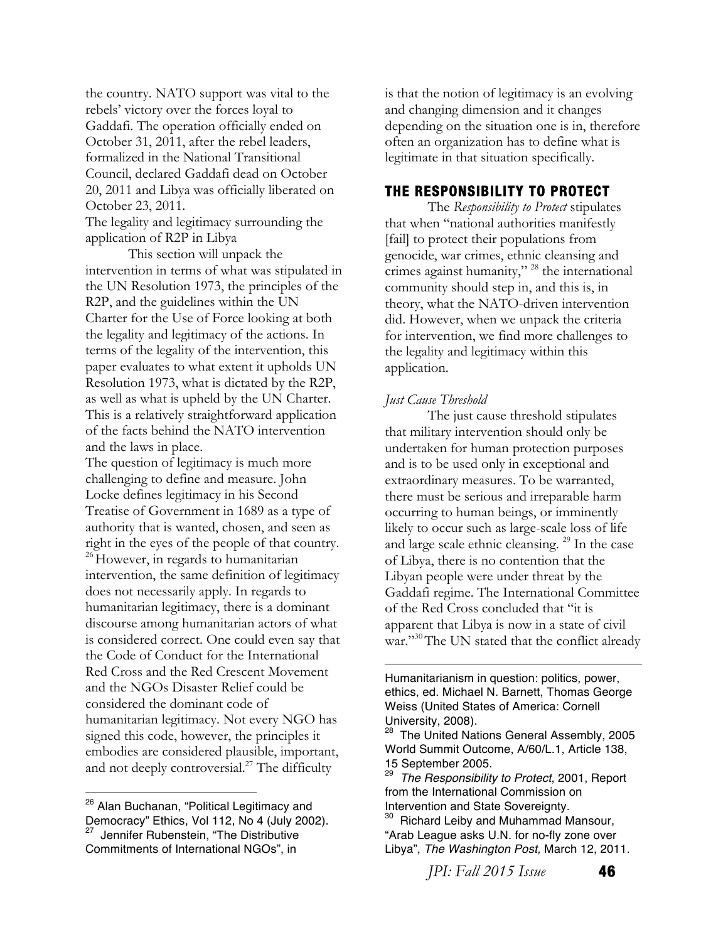the country. NATO support was vital to the rebels' victory over the forces loyal to Gaddafi. The operation officially ended on October 31, 2011, after the rebel leaders, formalized in the National Transitional Council, declared Gaddafi dead on October 20, 2011 and Libya was officially liberated on October 23, 2011.

The legality and legitimacy surrounding the application of R2P in Libya

This section will unpack the intervention in terms of what was stipulated in the UN Resolution 1973, the principles of the R2P, and the guidelines within the UN Charter for the Use of Force looking at both the legality and legitimacy of the actions. In terms of the legality of the intervention, this paper evaluates to what extent it upholds UN Resolution 1973, what is dictated by the R2P, as well as what is upheld by the UN Charter. This is a relatively straightforward application of the facts behind the NATO intervention and the laws in place.

The question of legitimacy is much more challenging to define and measure. John Locke defines legitimacy in his Second Treatise of Government in 1689 as a type of authority that is wanted, chosen, and seen as right in the eyes of the people of that country. <sup>26</sup> However, in regards to humanitarian intervention, the same definition of legitimacy does not necessarily apply. In regards to humanitarian legitimacy, there is a dominant discourse among humanitarian actors of what is considered correct. One could even say that the Code of Conduct for the International Red Cross and the Red Crescent Movement and the NGOs Disaster Relief could be considered the dominant code of humanitarian legitimacy. Not every NGO has signed this code, however, the principles it embodies are considered plausible, important, and not deeply controversial.<sup>27</sup> The difficulty

 

is that the notion of legitimacy is an evolving and changing dimension and it changes depending on the situation one is in, therefore often an organization has to define what is legitimate in that situation specifically.

### **THE RESPONSIBILITY TO PROTECT**

The *Responsibility to Protect* stipulates that when "national authorities manifestly [fail] to protect their populations from genocide, war crimes, ethnic cleansing and crimes against humanity,"  $28$  the international community should step in, and this is, in theory, what the NATO-driven intervention did. However, when we unpack the criteria for intervention, we find more challenges to the legality and legitimacy within this application.

#### *Just Cause Threshold*

The just cause threshold stipulates that military intervention should only be undertaken for human protection purposes and is to be used only in exceptional and extraordinary measures. To be warranted, there must be serious and irreparable harm occurring to human beings, or imminently likely to occur such as large-scale loss of life and large scale ethnic cleansing. 29 In the case of Libya, there is no contention that the Libyan people were under threat by the Gaddafi regime. The International Committee of the Red Cross concluded that "it is apparent that Libya is now in a state of civil war."<sup>30</sup>The UN stated that the conflict already

Humanitarianism in question: politics, power, ethics, ed. Michael N. Barnett, Thomas George Weiss (United States of America: Cornell University, 2008).

<u> 1989 - Jan James James Barnett, fransk politik (d. 1989)</u>

*JPI: Fall 2015 Issue* **46** 

<sup>&</sup>lt;sup>26</sup> Alan Buchanan, "Political Legitimacy and Democracy" Ethics, Vol 112, No 4 (July 2002). <sup>27</sup> Jennifer Rubenstein, "The Distributive Commitments of International NGOs", in

<sup>&</sup>lt;sup>28</sup> The United Nations General Assembly, 2005 World Summit Outcome, A/60/L.1, Article 138, 15 September 2005.

<sup>29</sup> *The Responsibility to Protect*, 2001, Report from the International Commission on Intervention and State Sovereignty.

<sup>&</sup>lt;sup>30</sup> Richard Leiby and Muhammad Mansour, "Arab League asks U.N. for no-fly zone over Libya", *The Washington Post,* March 12, 2011.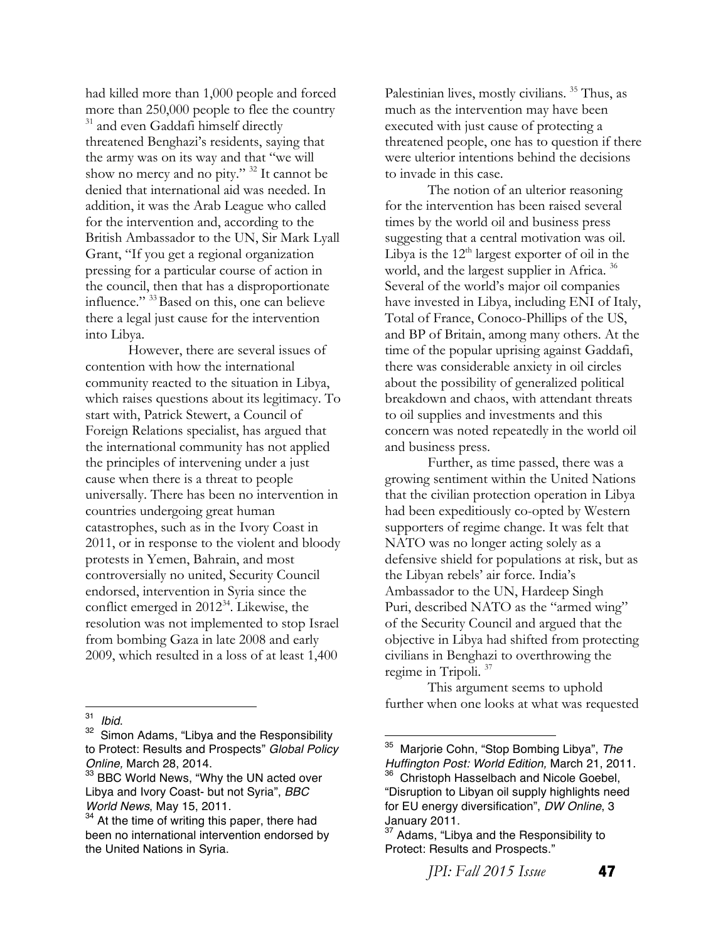had killed more than 1,000 people and forced more than 250,000 people to flee the country <sup>31</sup> and even Gaddafi himself directly threatened Benghazi's residents, saying that the army was on its way and that "we will show no mercy and no pity." 32 It cannot be denied that international aid was needed. In addition, it was the Arab League who called for the intervention and, according to the British Ambassador to the UN, Sir Mark Lyall Grant, "If you get a regional organization pressing for a particular course of action in the council, then that has a disproportionate influence." <sup>33</sup> Based on this, one can believe there a legal just cause for the intervention into Libya.

However, there are several issues of contention with how the international community reacted to the situation in Libya, which raises questions about its legitimacy. To start with, Patrick Stewert, a Council of Foreign Relations specialist, has argued that the international community has not applied the principles of intervening under a just cause when there is a threat to people universally. There has been no intervention in countries undergoing great human catastrophes, such as in the Ivory Coast in 2011, or in response to the violent and bloody protests in Yemen, Bahrain, and most controversially no united, Security Council endorsed, intervention in Syria since the conflict emerged in  $2012^{34}$ . Likewise, the resolution was not implemented to stop Israel from bombing Gaza in late 2008 and early 2009, which resulted in a loss of at least 1,400

 

Palestinian lives, mostly civilians.<sup>35</sup> Thus, as much as the intervention may have been executed with just cause of protecting a threatened people, one has to question if there were ulterior intentions behind the decisions to invade in this case.

The notion of an ulterior reasoning for the intervention has been raised several times by the world oil and business press suggesting that a central motivation was oil. Libya is the  $12<sup>th</sup>$  largest exporter of oil in the world, and the largest supplier in Africa.<sup>36</sup> Several of the world's major oil companies have invested in Libya, including ENI of Italy, Total of France, Conoco-Phillips of the US, and BP of Britain, among many others. At the time of the popular uprising against Gaddafi, there was considerable anxiety in oil circles about the possibility of generalized political breakdown and chaos, with attendant threats to oil supplies and investments and this concern was noted repeatedly in the world oil and business press.

Further, as time passed, there was a growing sentiment within the United Nations that the civilian protection operation in Libya had been expeditiously co-opted by Western supporters of regime change. It was felt that NATO was no longer acting solely as a defensive shield for populations at risk, but as the Libyan rebels' air force. India's Ambassador to the UN, Hardeep Singh Puri, described NATO as the "armed wing" of the Security Council and argued that the objective in Libya had shifted from protecting civilians in Benghazi to overthrowing the regime in Tripoli. 37

This argument seems to uphold further when one looks at what was requested

<sup>&</sup>lt;sup>31</sup> *Ibid.* 62<br><sup>32</sup> Simon Adams, "Libya and the Responsibility to Protect: Results and Prospects" *Global Policy Online,* March 28, 2014.

<sup>&</sup>lt;sup>33</sup> BBC World News, "Why the UN acted over Libya and Ivory Coast- but not Syria", *BBC World News*, May 15, 2011.

 $34$  At the time of writing this paper, there had been no international intervention endorsed by the United Nations in Syria.

<sup>35</sup> Marjorie Cohn, "Stop Bombing Libya", *The Huffington Post: World Edition,* March 21, 2011. <sup>36</sup> Christoph Hasselbach and Nicole Goebel, "Disruption to Libyan oil supply highlights need for EU energy diversification", *DW Online*, 3

January 2011. <sup>37</sup> Adams, "Libya and the Responsibility to Protect: Results and Prospects."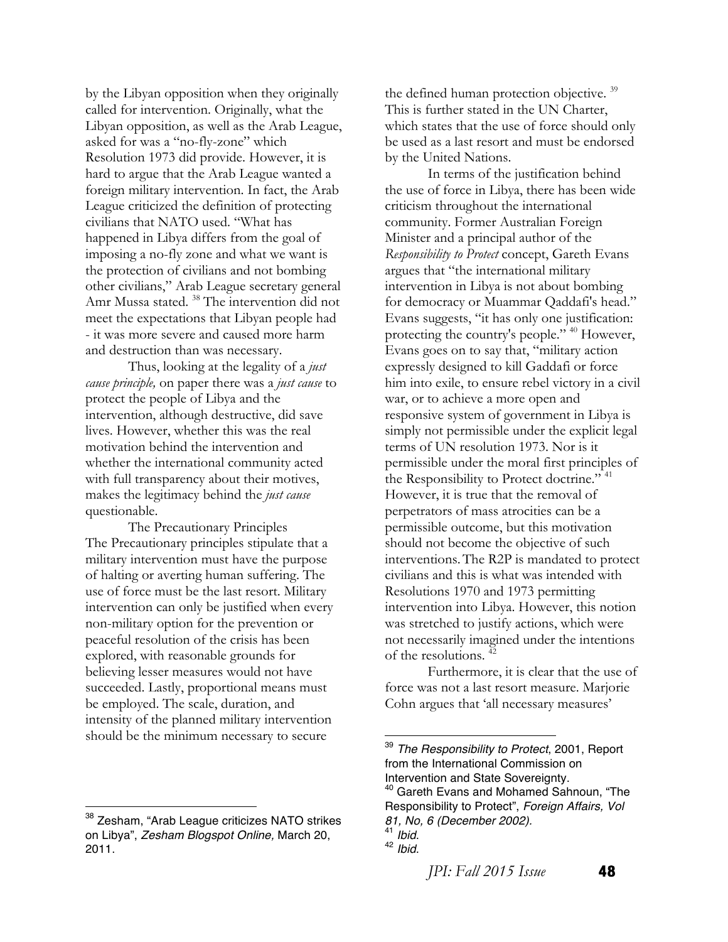by the Libyan opposition when they originally called for intervention. Originally, what the Libyan opposition, as well as the Arab League, asked for was a "no-fly-zone" which Resolution 1973 did provide. However, it is hard to argue that the Arab League wanted a foreign military intervention. In fact, the Arab League criticized the definition of protecting civilians that NATO used. "What has happened in Libya differs from the goal of imposing a no-fly zone and what we want is the protection of civilians and not bombing other civilians," Arab League secretary general Amr Mussa stated. 38 The intervention did not meet the expectations that Libyan people had - it was more severe and caused more harm and destruction than was necessary.

Thus, looking at the legality of a *just cause principle,* on paper there was a *just cause* to protect the people of Libya and the intervention, although destructive, did save lives. However, whether this was the real motivation behind the intervention and whether the international community acted with full transparency about their motives, makes the legitimacy behind the *just cause* questionable.

The Precautionary Principles The Precautionary principles stipulate that a military intervention must have the purpose of halting or averting human suffering. The use of force must be the last resort. Military intervention can only be justified when every non-military option for the prevention or peaceful resolution of the crisis has been explored, with reasonable grounds for believing lesser measures would not have succeeded. Lastly, proportional means must be employed. The scale, duration, and intensity of the planned military intervention should be the minimum necessary to secure

 

the defined human protection objective.<sup>39</sup> This is further stated in the UN Charter, which states that the use of force should only be used as a last resort and must be endorsed by the United Nations.

In terms of the justification behind the use of force in Libya, there has been wide criticism throughout the international community. Former Australian Foreign Minister and a principal author of the *Responsibility to Protect* concept, Gareth Evans argues that "the international military intervention in Libya is not about bombing for democracy or Muammar Qaddafi's head." Evans suggests, "it has only one justification: protecting the country's people." 40 However, Evans goes on to say that, "military action expressly designed to kill Gaddafi or force him into exile, to ensure rebel victory in a civil war, or to achieve a more open and responsive system of government in Libya is simply not permissible under the explicit legal terms of UN resolution 1973. Nor is it permissible under the moral first principles of the Responsibility to Protect doctrine." <sup>41</sup> However, it is true that the removal of perpetrators of mass atrocities can be a permissible outcome, but this motivation should not become the objective of such interventions.The R2P is mandated to protect civilians and this is what was intended with Resolutions 1970 and 1973 permitting intervention into Libya. However, this notion was stretched to justify actions, which were not necessarily imagined under the intentions of the resolutions.<sup>4</sup>

Furthermore, it is clear that the use of force was not a last resort measure. Marjorie Cohn argues that 'all necessary measures'

*JPI: Fall 2015 Issue* **48** 

<sup>&</sup>lt;sup>38</sup> Zesham, "Arab League criticizes NATO strikes on Libya", *Zesham Blogspot Online,* March 20, 2011.

<sup>39</sup> *The Responsibility to Protect*, 2001, Report from the International Commission on Intervention and State Sovereignty. <sup>40</sup> Gareth Evans and Mohamed Sahnoun, "The

Responsibility to Protect", *Foreign Affairs, Vol 81, No, 6 (December 2002).*

<sup>41</sup> *Ibid*. <sup>42</sup> *Ibid*.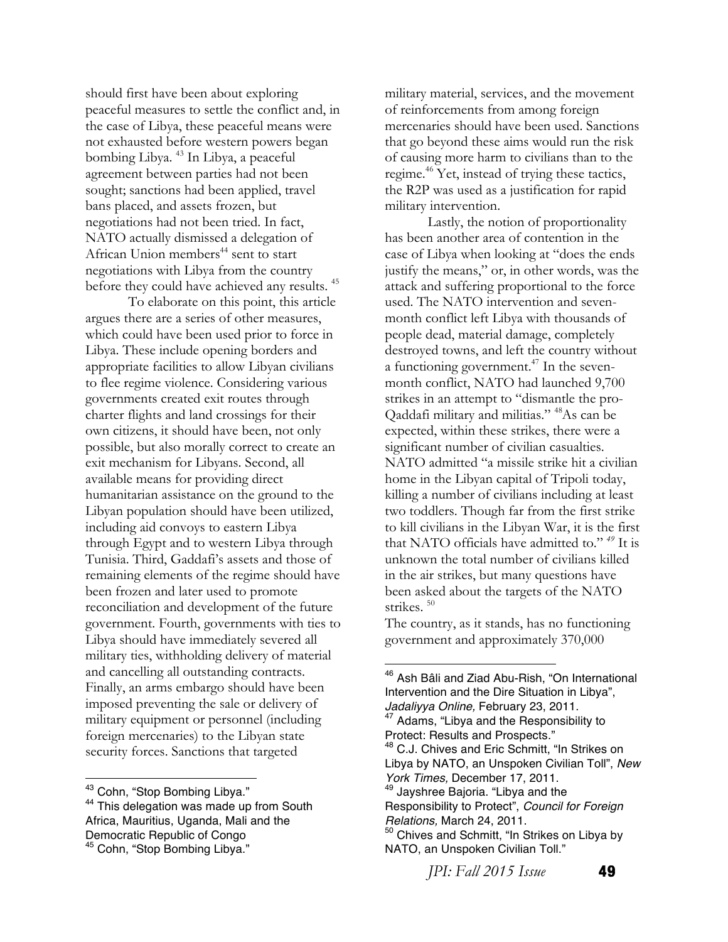should first have been about exploring peaceful measures to settle the conflict and, in the case of Libya, these peaceful means were not exhausted before western powers began bombing Libya. 43 In Libya, a peaceful agreement between parties had not been sought; sanctions had been applied, travel bans placed, and assets frozen, but negotiations had not been tried. In fact, NATO actually dismissed a delegation of African Union members<sup>44</sup> sent to start negotiations with Libya from the country before they could have achieved any results. 45

To elaborate on this point, this article argues there are a series of other measures, which could have been used prior to force in Libya. These include opening borders and appropriate facilities to allow Libyan civilians to flee regime violence. Considering various governments created exit routes through charter flights and land crossings for their own citizens, it should have been, not only possible, but also morally correct to create an exit mechanism for Libyans. Second, all available means for providing direct humanitarian assistance on the ground to the Libyan population should have been utilized, including aid convoys to eastern Libya through Egypt and to western Libya through Tunisia. Third, Gaddafi's assets and those of remaining elements of the regime should have been frozen and later used to promote reconciliation and development of the future government. Fourth, governments with ties to Libya should have immediately severed all military ties, withholding delivery of material and cancelling all outstanding contracts. Finally, an arms embargo should have been imposed preventing the sale or delivery of military equipment or personnel (including foreign mercenaries) to the Libyan state security forces. Sanctions that targeted

military material, services, and the movement of reinforcements from among foreign mercenaries should have been used. Sanctions that go beyond these aims would run the risk of causing more harm to civilians than to the regime.<sup>46</sup> Yet, instead of trying these tactics, the R2P was used as a justification for rapid military intervention.

Lastly, the notion of proportionality has been another area of contention in the case of Libya when looking at "does the ends justify the means," or, in other words, was the attack and suffering proportional to the force used. The NATO intervention and sevenmonth conflict left Libya with thousands of people dead, material damage, completely destroyed towns, and left the country without a functioning government. $47$  In the sevenmonth conflict, NATO had launched 9,700 strikes in an attempt to "dismantle the pro-Qaddafi military and militias." 48As can be expected, within these strikes, there were a significant number of civilian casualties. NATO admitted "a missile strike hit a civilian home in the Libyan capital of Tripoli today, killing a number of civilians including at least two toddlers. Though far from the first strike to kill civilians in the Libyan War, it is the first that NATO officials have admitted to." *<sup>49</sup>* It is unknown the total number of civilians killed in the air strikes, but many questions have been asked about the targets of the NATO strikes.<sup>50</sup>

The country, as it stands, has no functioning government and approximately 370,000

 

<sup>46</sup> Ash Bâli and Ziad Abu-Rish, "On International Intervention and the Dire Situation in Libya", *Jadaliyya Online,* February 23, 2011. <sup>47</sup> Adams, "Libya and the Responsibility to Protect: Results and Prospects."<br><sup>48</sup> C.J. Chives and Eric Schmitt, "In Strikes on Libya by NATO, an Unspoken Civilian Toll", *New York Times,* December 17, 2011. <sup>49</sup> Jayshree Bajoria. "Libya and the Responsibility to Protect", *Council for Foreign Relations,* March 24, 2011. <sup>50</sup> Chives and Schmitt, "In Strikes on Libya by NATO, an Unspoken Civilian Toll."

*JPI: Fall 2015 Issue* **49** 

<sup>&</sup>lt;sup>43</sup> Cohn, "Stop Bombing Libya."

<sup>&</sup>lt;sup>44</sup> This delegation was made up from South Africa, Mauritius, Uganda, Mali and the Democratic Republic of Congo <sup>45</sup> Cohn, "Stop Bombing Libya."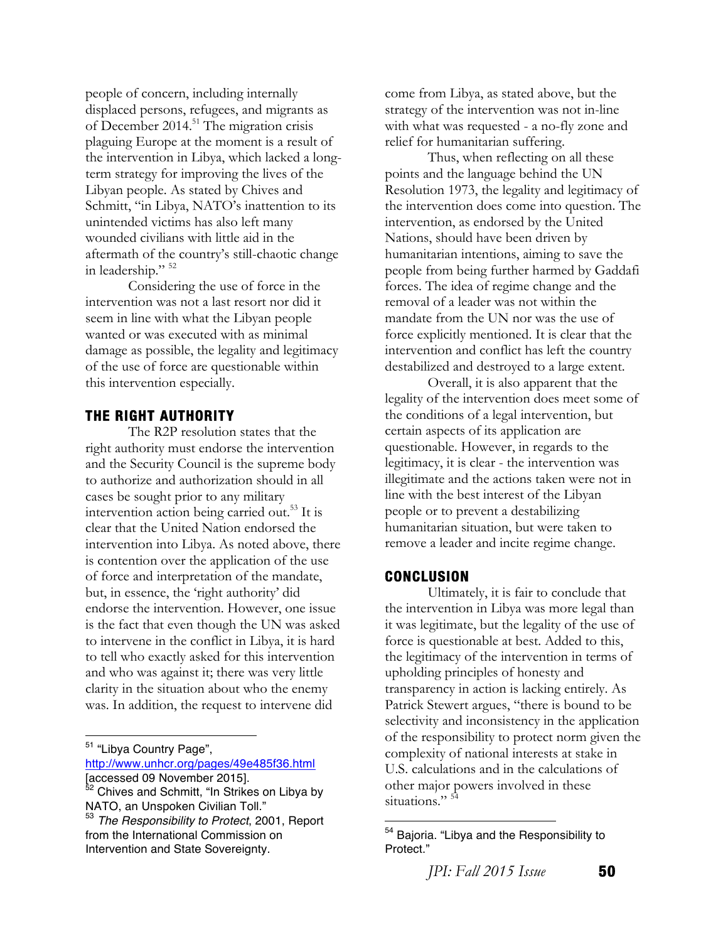people of concern, including internally displaced persons, refugees, and migrants as of December 2014.<sup>51</sup> The migration crisis plaguing Europe at the moment is a result of the intervention in Libya, which lacked a longterm strategy for improving the lives of the Libyan people. As stated by Chives and Schmitt, "in Libya, NATO's inattention to its unintended victims has also left many wounded civilians with little aid in the aftermath of the country's still-chaotic change in leadership."  $52$ 

Considering the use of force in the intervention was not a last resort nor did it seem in line with what the Libyan people wanted or was executed with as minimal damage as possible, the legality and legitimacy of the use of force are questionable within this intervention especially.

#### **THE RIGHT AUTHORITY**

The R2P resolution states that the right authority must endorse the intervention and the Security Council is the supreme body to authorize and authorization should in all cases be sought prior to any military intervention action being carried out.<sup>53</sup> It is clear that the United Nation endorsed the intervention into Libya. As noted above, there is contention over the application of the use of force and interpretation of the mandate, but, in essence, the 'right authority' did endorse the intervention. However, one issue is the fact that even though the UN was asked to intervene in the conflict in Libya, it is hard to tell who exactly asked for this intervention and who was against it; there was very little clarity in the situation about who the enemy was. In addition, the request to intervene did

 

http://www.unhcr.org/pages/49e485f36.html [accessed 09 November 2015].

come from Libya, as stated above, but the strategy of the intervention was not in-line with what was requested - a no-fly zone and relief for humanitarian suffering.

Thus, when reflecting on all these points and the language behind the UN Resolution 1973, the legality and legitimacy of the intervention does come into question. The intervention, as endorsed by the United Nations, should have been driven by humanitarian intentions, aiming to save the people from being further harmed by Gaddafi forces. The idea of regime change and the removal of a leader was not within the mandate from the UN nor was the use of force explicitly mentioned. It is clear that the intervention and conflict has left the country destabilized and destroyed to a large extent.

Overall, it is also apparent that the legality of the intervention does meet some of the conditions of a legal intervention, but certain aspects of its application are questionable. However, in regards to the legitimacy, it is clear - the intervention was illegitimate and the actions taken were not in line with the best interest of the Libyan people or to prevent a destabilizing humanitarian situation, but were taken to remove a leader and incite regime change.

#### **CONCLUSION**

Ultimately, it is fair to conclude that the intervention in Libya was more legal than it was legitimate, but the legality of the use of force is questionable at best. Added to this, the legitimacy of the intervention in terms of upholding principles of honesty and transparency in action is lacking entirely. As Patrick Stewert argues, "there is bound to be selectivity and inconsistency in the application of the responsibility to protect norm given the complexity of national interests at stake in U.S. calculations and in the calculations of other major powers involved in these situations."<sup>54</sup>

*JPI: Fall 2015 Issue* **50** 

<sup>&</sup>lt;sup>51</sup> "Libya Country Page",

<sup>52</sup> Chives and Schmitt, "In Strikes on Libya by NATO, an Unspoken Civilian Toll."<br><sup>53</sup> The Besponsibility to Protect 20

<sup>53</sup> *The Responsibility to Protect*, 2001, Report from the International Commission on Intervention and State Sovereignty.

<sup>&</sup>lt;sup>54</sup> Bajoria. "Libya and the Responsibility to Protect."